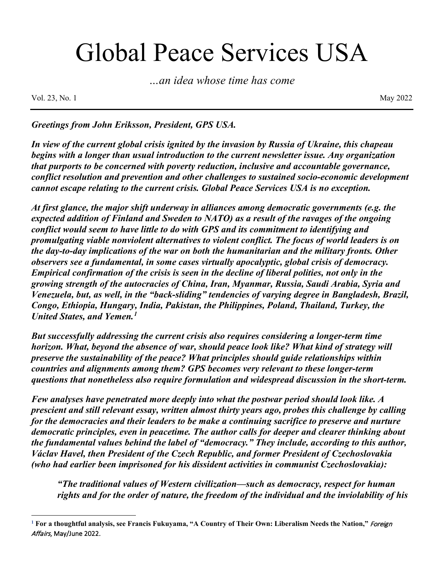# Global Peace Services USA

*…an idea whose time has come*

Vol. 23, No. 1 May 2022

*Greetings from John Eriksson, President, GPS USA.* 

*In view of the current global crisis ignited by the invasion by Russia of Ukraine, this chapeau begins with a longer than usual introduction to the current newsletter issue. Any organization that purports to be concerned with poverty reduction, inclusive and accountable governance, conflict resolution and prevention and other challenges to sustained socio-economic development cannot escape relating to the current crisis. Global Peace Services USA is no exception.* 

*At first glance, the major shift underway in alliances among democratic governments (e.g. the expected addition of Finland and Sweden to NATO) as a result of the ravages of the ongoing conflict would seem to have little to do with GPS and its commitment to identifying and promulgating viable nonviolent alternatives to violent conflict. The focus of world leaders is on the day-to-day implications of the war on both the humanitarian and the military fronts. Other observers see a fundamental, in some cases virtually apocalyptic, global crisis of democracy. Empirical confirmation of the crisis is seen in the decline of liberal polities, not only in the growing strength of the autocracies of China, Iran, Myanmar, Russia, Saudi Arabia, Syria and Venezuela, but, as well, in the "back-sliding" tendencies of varying degree in Bangladesh, Brazil, Congo, Ethiopia, Hungary, India, Pakistan, the Philippines, Poland, Thailand, Turkey, the United States, and Yemen.[1](#page-0-0)*

*But successfully addressing the current crisis also requires considering a longer-term time horizon. What, beyond the absence of war, should peace look like? What kind of strategy will preserve the sustainability of the peace? What principles should guide relationships within countries and alignments among them? GPS becomes very relevant to these longer-term questions that nonetheless also require formulation and widespread discussion in the short-term.* 

*Few analyses have penetrated more deeply into what the postwar period should look like. A prescient and still relevant essay, written almost thirty years ago, probes this challenge by calling for the democracies and their leaders to be make a continuing sacrifice to preserve and nurture democratic principles, even in peacetime. The author calls for deeper and clearer thinking about the fundamental values behind the label of "democracy." They include, according to this author, Václav Havel, then President of the Czech Republic, and former President of Czechoslovakia (who had earlier been imprisoned for his dissident activities in communist Czechoslovakia):* 

*"The traditional values of Western civilization—such as democracy, respect for human rights and for the order of nature, the freedom of the individual and the inviolability of his* 

<span id="page-0-0"></span>**<sup>1</sup> For a thoughtful analysis, see Francis Fukuyama, "A Country of Their Own: Liberalism Needs the Nation,"** Foreign Affairs, May/June 2022.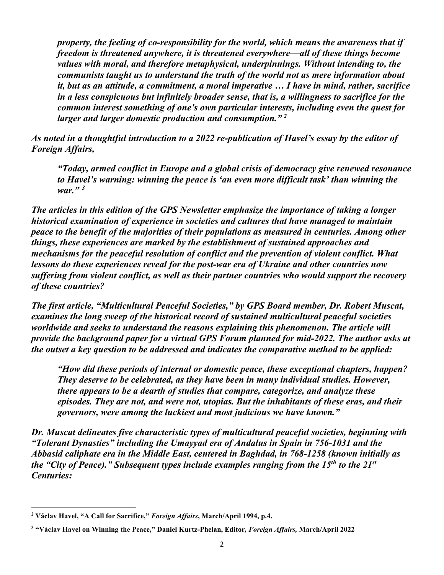*property, the feeling of co-responsibility for the world, which means the awareness that if freedom is threatened anywhere, it is threatened everywhere—all of these things become values with moral, and therefore metaphysical, underpinnings. Without intending to, the communists taught us to understand the truth of the world not as mere information about it, but as an attitude, a commitment, a moral imperative … I have in mind, rather, sacrifice in a less conspicuous but infinitely broader sense, that is, a willingness to sacrifice for the common interest something of one's own particular interests, including even the quest for larger and larger domestic production and consumption." [2](#page-1-0)*

*As noted in a thoughtful introduction to a 2022 re-publication of Havel's essay by the editor of Foreign Affairs,*

*"Today, armed conflict in Europe and a global crisis of democracy give renewed resonance to Havel's warning: winning the peace is 'an even more difficult task' than winning the war." [3](#page-1-1)*

*The articles in this edition of the GPS Newsletter emphasize the importance of taking a longer historical examination of experience in societies and cultures that have managed to maintain peace to the benefit of the majorities of their populations as measured in centuries. Among other things, these experiences are marked by the establishment of sustained approaches and mechanisms for the peaceful resolution of conflict and the prevention of violent conflict. What lessons do these experiences reveal for the post-war era of Ukraine and other countries now suffering from violent conflict, as well as their partner countries who would support the recovery of these countries?*

*The first article, "Multicultural Peaceful Societies," by GPS Board member, Dr. Robert Muscat, examines the long sweep of the historical record of sustained multicultural peaceful societies worldwide and seeks to understand the reasons explaining this phenomenon. The article will provide the background paper for a virtual GPS Forum planned for mid-2022. The author asks at the outset a key question to be addressed and indicates the comparative method to be applied:*

*"How did these periods of internal or domestic peace, these exceptional chapters, happen? They deserve to be celebrated, as they have been in many individual studies. However, there appears to be a dearth of studies that compare, categorize, and analyze these episodes. They are not, and were not, utopias. But the inhabitants of these eras, and their governors, were among the luckiest and most judicious we have known."*

*Dr. Muscat delineates five characteristic types of multicultural peaceful societies, beginning with "Tolerant Dynasties" including the Umayyad era of Andalus in Spain in 756-1031 and the Abbasid caliphate era in the Middle East, centered in Baghdad, in 768-1258 (known initially as the "City of Peace)." Subsequent types include examples ranging from the 15th to the 21st Centuries:*

<span id="page-1-0"></span>**<sup>2</sup> Václav Havel, "A Call for Sacrifice,"** *Foreign Affairs***, March/April 1994, p.4.**

<span id="page-1-1"></span>**<sup>3</sup> "Václav Havel on Winning the Peace," Daniel Kurtz-Phelan, Editor***, Foreign Affairs,* **March/April 2022**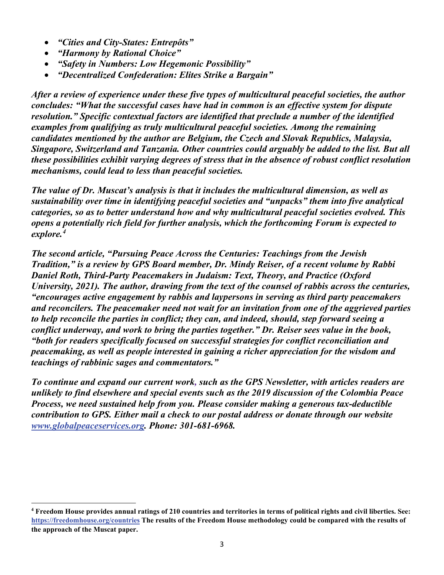- *"Cities and City-States: Entrepôts"*
- *"Harmony by Rational Choice"*
- *"Safety in Numbers: Low Hegemonic Possibility"*
- *"Decentralized Confederation: Elites Strike a Bargain"*

*After a review of experience under these five types of multicultural peaceful societies, the author concludes: "What the successful cases have had in common is an effective system for dispute resolution." Specific contextual factors are identified that preclude a number of the identified examples from qualifying as truly multicultural peaceful societies. Among the remaining candidates mentioned by the author are Belgium, the Czech and Slovak Republics, Malaysia, Singapore, Switzerland and Tanzania. Other countries could arguably be added to the list. But all these possibilities exhibit varying degrees of stress that in the absence of robust conflict resolution mechanisms, could lead to less than peaceful societies.* 

*The value of Dr. Muscat's analysis is that it includes the multicultural dimension, as well as sustainability over time in identifying peaceful societies and "unpacks" them into five analytical categories, so as to better understand how and why multicultural peaceful societies evolved. This opens a potentially rich field for further analysis, which the forthcoming Forum is expected to explore.[4](#page-2-0)*

*The second article, "Pursuing Peace Across the Centuries: Teachings from the Jewish Tradition," is a review by GPS Board member, Dr. Mindy Reiser, of a recent volume by Rabbi Daniel Roth, Third-Party Peacemakers in Judaism: Text, Theory, and Practice (Oxford University, 2021). The author, drawing from the text of the counsel of rabbis across the centuries, "encourages active engagement by rabbis and laypersons in serving as third party peacemakers and reconcilers. The peacemaker need not wait for an invitation from one of the aggrieved parties to help reconcile the parties in conflict; they can, and indeed, should, step forward seeing a conflict underway, and work to bring the parties together." Dr. Reiser sees value in the book, "both for readers specifically focused on successful strategies for conflict reconciliation and peacemaking, as well as people interested in gaining a richer appreciation for the wisdom and teachings of rabbinic sages and commentators."* 

*To continue and expand our current work, such as the GPS Newsletter, with articles readers are unlikely to find elsewhere and special events such as the 2019 discussion of the Colombia Peace Process, we need sustained help from you. Please consider making a generous tax-deductible contribution to GPS. Either mail a check to our postal address or donate through our website [www.globalpeaceservices.org.](about:blank) Phone: 301-681-6968.* 

<span id="page-2-0"></span>**<sup>4</sup> Freedom House provides annual ratings of 210 countries and territories in terms of political rights and civil liberties. See: [https://freedomhouse.org/countries](about:blank) The results of the Freedom House methodology could be compared with the results of the approach of the Muscat paper.**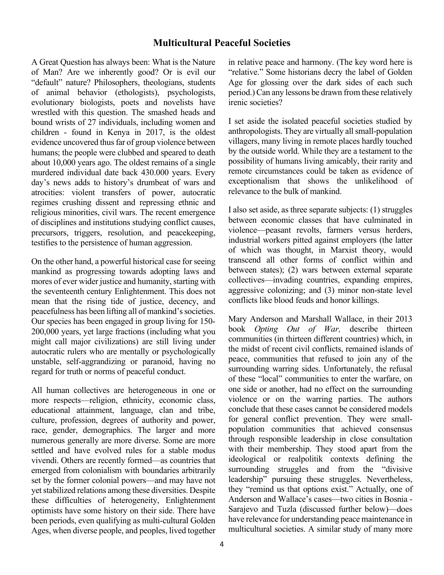### **Multicultural Peaceful Societies**

A Great Question has always been: What is the Nature of Man? Are we inherently good? Or is evil our "default" nature? Philosophers, theologians, students of animal behavior (ethologists), psychologists, evolutionary biologists, poets and novelists have wrestled with this question. The smashed heads and bound wrists of 27 individuals, including women and children - found in Kenya in 2017, is the oldest evidence uncovered thus far of group violence between humans; the people were clubbed and speared to death about 10,000 years ago. The oldest remains of a single murdered individual date back 430.000 years. Every day's news adds to history's drumbeat of wars and atrocities: violent transfers of power, autocratic regimes crushing dissent and repressing ethnic and religious minorities, civil wars. The recent emergence of disciplines and institutions studying conflict causes, precursors, triggers, resolution, and peacekeeping, testifies to the persistence of human aggression.

On the other hand, a powerful historical case for seeing mankind as progressing towards adopting laws and mores of ever wider justice and humanity, starting with the seventeenth century Enlightenment. This does not mean that the rising tide of justice, decency, and peacefulness has been lifting all of mankind's societies. Our species has been engaged in group living for 150- 200,000 years, yet large fractions (including what you might call major civilizations) are still living under autocratic rulers who are mentally or psychologically unstable, self-aggrandizing or paranoid, having no regard for truth or norms of peaceful conduct.

All human collectives are heterogeneous in one or more respects—religion, ethnicity, economic class, educational attainment, language, clan and tribe, culture, profession, degrees of authority and power, race, gender, demographics. The larger and more numerous generally are more diverse. Some are more settled and have evolved rules for a stable modus vivendi. Others are recently formed—as countries that emerged from colonialism with boundaries arbitrarily set by the former colonial powers—and may have not yet stabilized relations among these diversities. Despite these difficulties of heterogeneity, Enlightenment optimists have some history on their side. There have been periods, even qualifying as multi-cultural Golden Ages, when diverse people, and peoples, lived together in relative peace and harmony. (The key word here is "relative." Some historians decry the label of Golden Age for glossing over the dark sides of each such period.) Can any lessons be drawn from these relatively irenic societies?

I set aside the isolated peaceful societies studied by anthropologists. They are virtually all small-population villagers, many living in remote places hardly touched by the outside world. While they are a testament to the possibility of humans living amicably, their rarity and remote circumstances could be taken as evidence of exceptionalism that shows the unlikelihood of relevance to the bulk of mankind.

I also set aside, as three separate subjects: (1) struggles between economic classes that have culminated in violence—peasant revolts, farmers versus herders, industrial workers pitted against employers (the latter of which was thought, in Marxist theory, would transcend all other forms of conflict within and between states); (2) wars between external separate collectives—invading countries, expanding empires, aggressive colonizing; and (3) minor non-state level conflicts like blood feuds and honor killings.

Mary Anderson and Marshall Wallace, in their 2013 book *Opting Out of War,* describe thirteen communities (in thirteen different countries) which, in the midst of recent civil conflicts, remained islands of peace, communities that refused to join any of the surrounding warring sides. Unfortunately, the refusal of these "local" communities to enter the warfare, on one side or another, had no effect on the surrounding violence or on the warring parties. The authors conclude that these cases cannot be considered models for general conflict prevention. They were smallpopulation communities that achieved consensus through responsible leadership in close consultation with their membership. They stood apart from the ideological or realpolitik contexts defining the surrounding struggles and from the "divisive leadership" pursuing these struggles. Nevertheless, they "remind us that options exist." Actually, one of Anderson and Wallace's cases—two cities in Bosnia - Sarajevo and Tuzla (discussed further below)—does have relevance for understanding peace maintenance in multicultural societies. A similar study of many more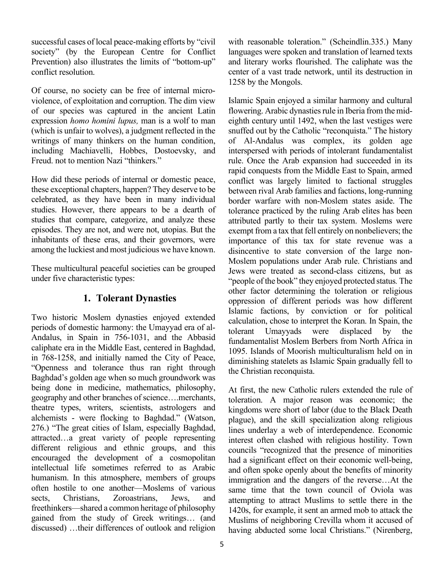successful cases of local peace-making efforts by "civil society" (by the European Centre for Conflict Prevention) also illustrates the limits of "bottom-up" conflict resolution.

Of course, no society can be free of internal microviolence, of exploitation and corruption. The dim view of our species was captured in the ancient Latin expression *homo homini lupus,* man is a wolf to man (which is unfair to wolves), a judgment reflected in the writings of many thinkers on the human condition, including Machiavelli, Hobbes, Dostoevsky, and Freud. not to mention Nazi "thinkers."

How did these periods of internal or domestic peace, these exceptional chapters, happen? They deserve to be celebrated, as they have been in many individual studies. However, there appears to be a dearth of studies that compare, categorize, and analyze these episodes. They are not, and were not, utopias. But the inhabitants of these eras, and their governors, were among the luckiest and most judicious we have known.

These multicultural peaceful societies can be grouped under five characteristic types:

# **1. Tolerant Dynasties**

Two historic Moslem dynasties enjoyed extended periods of domestic harmony: the Umayyad era of al-Andalus, in Spain in 756-1031, and the Abbasid caliphate era in the Middle East, centered in Baghdad, in 768-1258, and initially named the City of Peace, "Openness and tolerance thus ran right through Baghdad's golden age when so much groundwork was being done in medicine, mathematics, philosophy, geography and other branches of science….merchants, theatre types, writers, scientists, astrologers and alchemists - were flocking to Baghdad." (Watson, 276.) "The great cities of Islam, especially Baghdad, attracted…a great variety of people representing different religious and ethnic groups, and this encouraged the development of a cosmopolitan intellectual life sometimes referred to as Arabic humanism. In this atmosphere, members of groups often hostile to one another—Moslems of various sects, Christians, Zoroastrians, Jews, and freethinkers—shared a common heritage of philosophy gained from the study of Greek writings… (and discussed) …their differences of outlook and religion

with reasonable toleration." (Scheindlin.335.) Many languages were spoken and translation of learned texts and literary works flourished. The caliphate was the center of a vast trade network, until its destruction in 1258 by the Mongols.

Islamic Spain enjoyed a similar harmony and cultural flowering. Arabic dynasties rule in Iberia from the mideighth century until 1492, when the last vestiges were snuffed out by the Catholic "reconquista." The history of Al-Andalus was complex, its golden age interspersed with periods of intolerant fundamentalist rule. Once the Arab expansion had succeeded in its rapid conquests from the Middle East to Spain, armed conflict was largely limited to factional struggles between rival Arab families and factions, long-running border warfare with non-Moslem states aside. The tolerance practiced by the ruling Arab elites has been attributed partly to their tax system. Moslems were exempt from a tax that fell entirely on nonbelievers; the importance of this tax for state revenue was a disincentive to state conversion of the large non-Moslem populations under Arab rule. Christians and Jews were treated as second-class citizens, but as "people of the book" they enjoyed protected status*.* The other factor determining the toleration or religious oppression of different periods was how different Islamic factions, by conviction or for political calculation, chose to interpret the Koran. In Spain, the tolerant Umayyads were displaced by the fundamentalist Moslem Berbers from North Africa in 1095. Islands of Moorish multiculturalism held on in diminishing statelets as Islamic Spain gradually fell to the Christian reconquista.

At first, the new Catholic rulers extended the rule of toleration. A major reason was economic; the kingdoms were short of labor (due to the Black Death plague), and the skill specialization along religious lines underlay a web of interdependence. Economic interest often clashed with religious hostility. Town councils "recognized that the presence of minorities had a significant effect on their economic well-being, and often spoke openly about the benefits of minority immigration and the dangers of the reverse…At the same time that the town council of Oviola was attempting to attract Muslims to settle there in the 1420s, for example, it sent an armed mob to attack the Muslims of neighboring Crevilla whom it accused of having abducted some local Christians." (Nirenberg,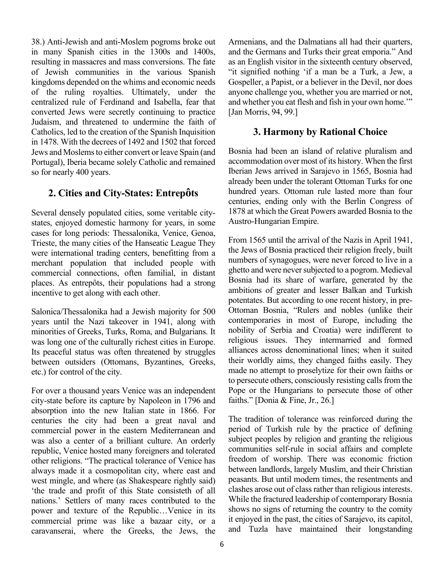38.) Anti-Jewish and anti-Moslem pogroms broke out in many Spanish cities in the 1300s and 1400s, resulting in massacres and mass conversions. The fate of Jewish communities in the various Spanish kingdoms depended on the whims and economic needs of the ruling royalties. Ultimately, under the centralized rule of Ferdinand and Isabella, fear that converted Jews were secretly continuing to practice Judaism, and threatened to undermine the faith of Catholics, led to the creation of the Spanish Inquisition in 1478. With the decrees of 1492 and 1502 that forced Jews and Moslems to either convert or leave Spain (and Portugal), Iberia became solely Catholic and remained so for nearly 400 years.

# **2. Cities and City-States: Entrepôts**

Several densely populated cities, some veritable citystates, enjoyed domestic harmony for years, in some cases for long periods: Thessalonika, Venice, Genoa, Trieste, the many cities of the Hanseatic League They were international trading centers, benefitting from a merchant population that included people with commercial connections, often familial, in distant places. As entrepôts, their populations had a strong incentive to get along with each other.

Salonica/Thessalonika had a Jewish majority for 500 years until the Nazi takeover in 1941, along with minorities of Greeks, Turks, Roma, and Bulgarians. It was long one of the culturally richest cities in Europe. Its peaceful status was often threatened by struggles between outsiders (Ottomans, Byzantines, Greeks, etc.) for control of the city.

For over a thousand years Venice was an independent city-state before its capture by Napoleon in 1796 and absorption into the new Italian state in 1866. For centuries the city had been a great naval and commercial power in the eastern Mediterranean and was also a center of a brilliant culture. An orderly republic, Venice hosted many foreigners and tolerated other religions. "The practical tolerance of Venice has always made it a cosmopolitan city, where east and west mingle, and where (as Shakespeare rightly said) 'the trade and profit of this State consisteth of all nations.' Settlers of many races contributed to the power and texture of the Republic…Venice in its commercial prime was like a bazaar city, or a caravanserai, where the Greeks, the Jews, the

Armenians, and the Dalmatians all had their quarters, and the Germans and Turks their great emporia." And as an English visitor in the sixteenth century observed, "it signified nothing 'if a man be a Turk, a Jew, a Gospeller, a Papist, or a believer in the Devil, nor does anyone challenge you, whether you are married or not, and whether you eat flesh and fish in your own home.'" [Jan Morris, 94, 99.]

#### **3. Harmony by Rational Choice**

Bosnia had been an island of relative pluralism and accommodation over most of its history. When the first Iberian Jews arrived in Sarajevo in 1565, Bosnia had already been under the tolerant Ottoman Turks for one hundred years. Ottoman rule lasted more than four centuries, ending only with the Berlin Congress of 1878 at which the Great Powers awarded Bosnia to the Austro-Hungarian Empire.

From 1565 until the arrival of the Nazis in April 1941, the Jews of Bosnia practiced their religion freely, built numbers of synagogues, were never forced to live in a ghetto and were never subjected to a pogrom. Medieval Bosnia had its share of warfare, generated by the ambitions of greater and lesser Balkan and Turkish potentates. But according to one recent history, in pre-Ottoman Bosnia, "Rulers and nobles (unlike their contemporaries in most of Europe, including the nobility of Serbia and Croatia) were indifferent to religious issues. They intermarried and formed alliances across denominational lines; when it suited their worldly aims, they changed faiths easily. They made no attempt to proselytize for their own faiths or to persecute others, consciously resisting calls from the Pope or the Hungarians to persecute those of other faiths." [Donia & Fine, Jr., 26.]

The tradition of tolerance was reinforced during the period of Turkish rule by the practice of defining subject peoples by religion and granting the religious communities self-rule in social affairs and complete freedom of worship. There was economic friction between landlords, largely Muslim, and their Christian peasants. But until modern times, the resentments and clashes arose out of class rather than religious interests. While the fractured leadership of contemporary Bosnia shows no signs of returning the country to the comity it enjoyed in the past, the cities of Sarajevo, its capitol, and Tuzla have maintained their longstanding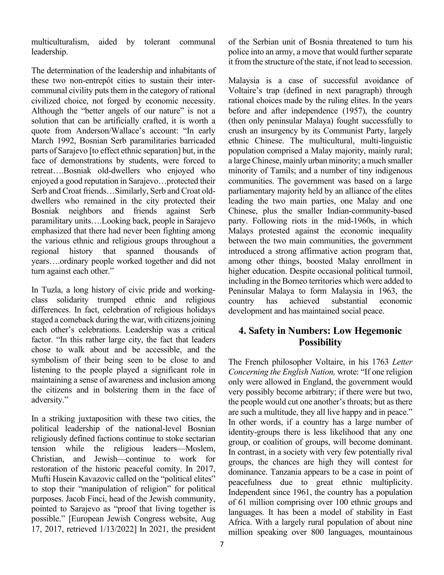multiculturalism, aided by tolerant communal leadership.

The determination of the leadership and inhabitants of these two non-entrepôt cities to sustain their intercommunal civility puts them in the category of rational civilized choice, not forged by economic necessity. Although the "better angels of our nature" is not a solution that can be artificially crafted, it is worth a quote from Anderson/Wallace's account: "In early March 1992, Bosnian Serb paramilitaries barricaded parts of Sarajevo [to effect ethnic separation] but, in the face of demonstrations by students, were forced to retreat….Bosniak old-dwellers who enjoyed who enjoyed a good reputation in Sarajevo…protected their Serb and Croat friends…Similarly, Serb and Croat olddwellers who remained in the city protected their Bosniak neighbors and friends against Serb paramilitary units….Looking back, people in Sarajevo emphasized that there had never been fighting among the various ethnic and religious groups throughout a regional history that spanned thousands of years….ordinary people worked together and did not turn against each other."

In Tuzla, a long history of civic pride and workingclass solidarity trumped ethnic and religious differences. In fact, celebration of religious holidays staged a comeback during the war, with citizens joining each other's celebrations. Leadership was a critical factor. "In this rather large city, the fact that leaders chose to walk about and be accessible, and the symbolism of their being seen to be close to and listening to the people played a significant role in maintaining a sense of awareness and inclusion among the citizens and in bolstering them in the face of adversity."

In a striking juxtaposition with these two cities, the political leadership of the national-level Bosnian religiously defined factions continue to stoke sectarian tension while the religious leaders—Moslem, Christian, and Jewish—continue to work for restoration of the historic peaceful comity. In 2017, Mufti Husein Kavazovic called on the "political elites" to stop their "manipulation of religion" for political purposes. Jacob Finci, head of the Jewish community, pointed to Sarajevo as "proof that living together is possible." [European Jewish Congress website, Aug 17, 2017, retrieved 1/13/2022] In 2021, the president of the Serbian unit of Bosnia threatened to turn his police into an army, a move that would further separate it from the structure of the state, if not lead to secession.

Malaysia is a case of successful avoidance of Voltaire's trap (defined in next paragraph) through rational choices made by the ruling elites. In the years before and after independence (1957), the country (then only peninsular Malaya) fought successfully to crush an insurgency by its Communist Party, largely ethnic Chinese. The multicultural, multi-linguistic population comprised a Malay majority, mainly rural; a large Chinese, mainly urban minority; a much smaller minority of Tamils; and a number of tiny indigenous communities. The government was based on a large parliamentary majority held by an alliance of the elites leading the two main parties, one Malay and one Chinese, plus the smaller Indian-community-based party. Following riots in the mid-1960s, in which Malays protested against the economic inequality between the two main communities, the government introduced a strong affirmative action program that, among other things, boosted Malay enrollment in higher education. Despite occasional political turmoil, including in the Borneo territories which were added to Peninsular Malaya to form Malaysia in 1963, the country has achieved substantial economic development and has maintained social peace.

# **4. Safety in Numbers: Low Hegemonic Possibility**

The French philosopher Voltaire, in his 1763 *Letter Concerning the English Nation,* wrote: "If one religion only were allowed in England, the government would very possibly become arbitrary; if there were but two, the people would cut one another's throats; but as there are such a multitude, they all live happy and in peace." In other words, if a country has a large number of identity-groups there is less likelihood that any one group, or coalition of groups, will become dominant. In contrast, in a society with very few potentially rival groups, the chances are high they will contest for dominance. Tanzania appears to be a case in point of peacefulness due to great ethnic multiplicity. Independent since 1961, the country has a population of 61 million comprising over 100 ethnic groups and languages. It has been a model of stability in East Africa. With a largely rural population of about nine million speaking over 800 languages, mountainous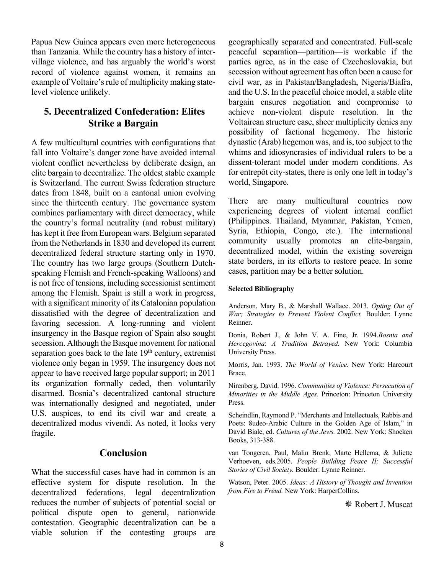Papua New Guinea appears even more heterogeneous than Tanzania. While the country has a history of intervillage violence, and has arguably the world's worst record of violence against women, it remains an example of Voltaire's rule of multiplicity making statelevel violence unlikely.

# **5. Decentralized Confederation: Elites Strike a Bargain**

A few multicultural countries with configurations that fall into Voltaire's danger zone have avoided internal violent conflict nevertheless by deliberate design, an elite bargain to decentralize. The oldest stable example is Switzerland. The current Swiss federation structure dates from 1848, built on a cantonal union evolving since the thirteenth century. The governance system combines parliamentary with direct democracy, while the country's formal neutrality (and robust military) has kept it free from European wars. Belgium separated from the Netherlands in 1830 and developed its current decentralized federal structure starting only in 1970. The country has two large groups (Southern Dutchspeaking Flemish and French-speaking Walloons) and is not free of tensions, including secessionist sentiment among the Flemish. Spain is still a work in progress, with a significant minority of its Catalonian population dissatisfied with the degree of decentralization and favoring secession. A long-running and violent insurgency in the Basque region of Spain also sought secession. Although the Basque movement for national separation goes back to the late  $19<sup>th</sup>$  century, extremist violence only began in 1959. The insurgency does not appear to have received large popular support; in 2011 its organization formally ceded, then voluntarily disarmed. Bosnia's decentralized cantonal structure was internationally designed and negotiated, under U.S. auspices, to end its civil war and create a decentralized modus vivendi. As noted, it looks very fragile.

#### **Conclusion**

What the successful cases have had in common is an effective system for dispute resolution. In the decentralized federations, legal decentralization reduces the number of subjects of potential social or political dispute open to general, nationwide contestation. Geographic decentralization can be a viable solution if the contesting groups are

geographically separated and concentrated. Full-scale peaceful separation—partition—is workable if the parties agree, as in the case of Czechoslovakia, but secession without agreement has often been a cause for civil war, as in Pakistan/Bangladesh, Nigeria/Biafra, and the U.S. In the peaceful choice model, a stable elite bargain ensures negotiation and compromise to achieve non-violent dispute resolution. In the Voltairean structure case, sheer multiplicity denies any possibility of factional hegemony. The historic dynastic (Arab) hegemon was, and is, too subject to the whims and idiosyncrasies of individual rulers to be a dissent-tolerant model under modern conditions. As for entrepôt city-states, there is only one left in today's world, Singapore.

There are many multicultural countries now experiencing degrees of violent internal conflict (Philippines. Thailand, Myanmar, Pakistan, Yemen, Syria, Ethiopia, Congo, etc.). The international community usually promotes an elite-bargain, decentralized model, within the existing sovereign state borders, in its efforts to restore peace. In some cases, partition may be a better solution.

#### **Selected Bibliography**

Anderson, Mary B., & Marshall Wallace. 2013. *Opting Out of War; Strategies to Prevent Violent Conflict.* Boulder: Lynne Reinner.

Donia, Robert J., & John V. A. Fine, Jr. 1994.*Bosnia and Hercegovina*: *A Tradition Betrayed.* New York: Columbia University Press.

Morris, Jan. 1993. *The World of Venice.* New York: Harcourt Brace.

Nirenberg, David. 1996. *Communities of Violence: Persecution of Minorities in the Middle Ages.* Princeton: Princeton University Press.

Scheindlin, Raymond P. "Merchants and Intellectuals, Rabbis and Poets: 8udeo-Arabic Culture in the Golden Age of Islam," in David Biale, ed. *Cultures of the Jews.* 2002. New York: Shocken Books, 313-388.

van Tongeren, Paul, Malin Brenk, Marte Hellema, & Juliette Verhoeven, eds.2005. *People Building Peace II; Successful Stories of Civil Society.* Boulder: Lynne Reinner.

Watson, Peter. 2005. *Ideas: A History of Thought and Invention from Fire to Freud.* New York: HarperCollins.

Robert J. Muscat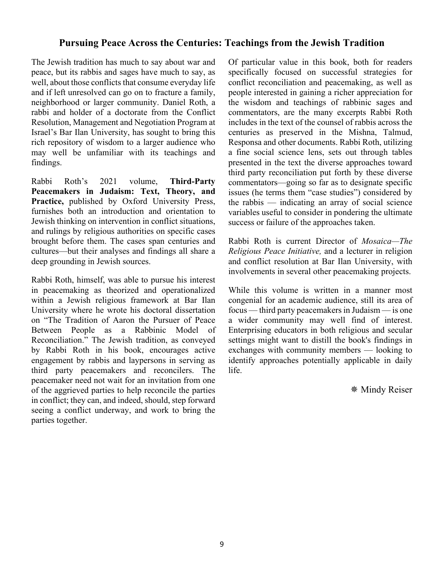#### **Pursuing Peace Across the Centuries: Teachings from the Jewish Tradition**

The Jewish tradition has much to say about war and peace, but its rabbis and sages have much to say, as well, about those conflicts that consume everyday life and if left unresolved can go on to fracture a family, neighborhood or larger community. Daniel Roth, a rabbi and holder of a doctorate from the Conflict Resolution, Management and Negotiation Program at Israel's Bar Ilan University, has sought to bring this rich repository of wisdom to a larger audience who may well be unfamiliar with its teachings and findings.

Rabbi Roth's 2021 volume, **Third-Party Peacemakers in Judaism: Text, Theory, and Practice,** published by Oxford University Press, furnishes both an introduction and orientation to Jewish thinking on intervention in conflict situations, and rulings by religious authorities on specific cases brought before them. The cases span centuries and cultures—but their analyses and findings all share a deep grounding in Jewish sources.

Rabbi Roth, himself, was able to pursue his interest in peacemaking as theorized and operationalized within a Jewish religious framework at Bar Ilan University where he wrote his doctoral dissertation on "The Tradition of Aaron the Pursuer of Peace Between People as a Rabbinic Model of Reconciliation." The Jewish tradition, as conveyed by Rabbi Roth in his book, encourages active engagement by rabbis and laypersons in serving as third party peacemakers and reconcilers. The peacemaker need not wait for an invitation from one of the aggrieved parties to help reconcile the parties in conflict; they can, and indeed, should, step forward seeing a conflict underway, and work to bring the parties together.

Of particular value in this book, both for readers specifically focused on successful strategies for conflict reconciliation and peacemaking, as well as people interested in gaining a richer appreciation for the wisdom and teachings of rabbinic sages and commentators, are the many excerpts Rabbi Roth includes in the text of the counsel of rabbis across the centuries as preserved in the Mishna, Talmud, Responsa and other documents. Rabbi Roth, utilizing a fine social science lens, sets out through tables presented in the text the diverse approaches toward third party reconciliation put forth by these diverse commentators—going so far as to designate specific issues (he terms them "case studies") considered by the rabbis — indicating an array of social science variables useful to consider in pondering the ultimate success or failure of the approaches taken.

Rabbi Roth is current Director of *Mosaica—The Religious Peace Initiative,* and a lecturer in religion and conflict resolution at Bar Ilan University, with involvements in several other peacemaking projects.

While this volume is written in a manner most congenial for an academic audience, still its area of focus — third party peacemakers in Judaism — is one a wider community may well find of interest. Enterprising educators in both religious and secular settings might want to distill the book's findings in exchanges with community members — looking to identify approaches potentially applicable in daily life.

Mindy Reiser